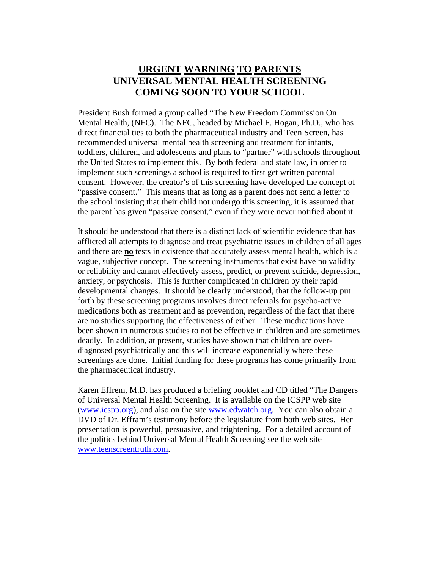## **URGENT WARNING TO PARENTS UNIVERSAL MENTAL HEALTH SCREENING COMING SOON TO YOUR SCHOOL**

President Bush formed a group called "The New Freedom Commission On Mental Health, (NFC). The NFC, headed by Michael F. Hogan, Ph.D., who has direct financial ties to both the pharmaceutical industry and Teen Screen, has recommended universal mental health screening and treatment for infants, toddlers, children, and adolescents and plans to "partner" with schools throughout the United States to implement this. By both federal and state law, in order to implement such screenings a school is required to first get written parental consent. However, the creator's of this screening have developed the concept of "passive consent." This means that as long as a parent does not send a letter to the school insisting that their child not undergo this screening, it is assumed that the parent has given "passive consent," even if they were never notified about it.

It should be understood that there is a distinct lack of scientific evidence that has afflicted all attempts to diagnose and treat psychiatric issues in children of all ages and there are **no** tests in existence that accurately assess mental health, which is a vague, subjective concept. The screening instruments that exist have no validity or reliability and cannot effectively assess, predict, or prevent suicide, depression, anxiety, or psychosis. This is further complicated in children by their rapid developmental changes. It should be clearly understood, that the follow-up put forth by these screening programs involves direct referrals for psycho-active medications both as treatment and as prevention, regardless of the fact that there are no studies supporting the effectiveness of either. These medications have been shown in numerous studies to not be effective in children and are sometimes deadly. In addition, at present, studies have shown that children are overdiagnosed psychiatrically and this will increase exponentially where these screenings are done. Initial funding for these programs has come primarily from the pharmaceutical industry.

Karen Effrem, M.D. has produced a briefing booklet and CD titled "The Dangers of Universal Mental Health Screening. It is available on the ICSPP web site (www.icspp.org), and also on the site www.edwatch.org. You can also obtain a DVD of Dr. Effram's testimony before the legislature from both web sites. Her presentation is powerful, persuasive, and frightening. For a detailed account of the politics behind Universal Mental Health Screening see the web site www.teenscreentruth.com.